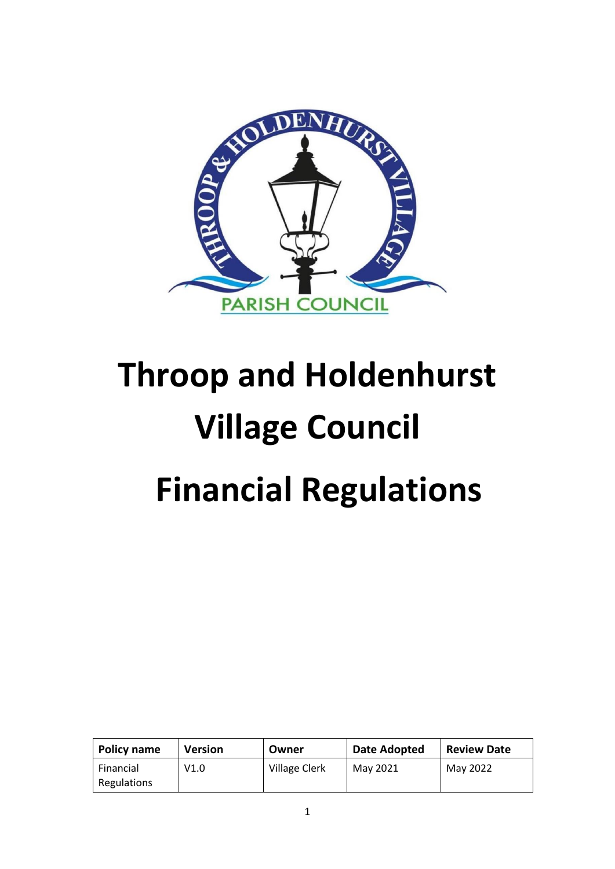

# **Throop and Holdenhurst Village Council Financial Regulations**

| <b>Policy name</b>       | Version | Owner                | <b>Date Adopted</b> | <b>Review Date</b> |
|--------------------------|---------|----------------------|---------------------|--------------------|
| Financial<br>Regulations | V1.0    | <b>Village Clerk</b> | May 2021            | May 2022           |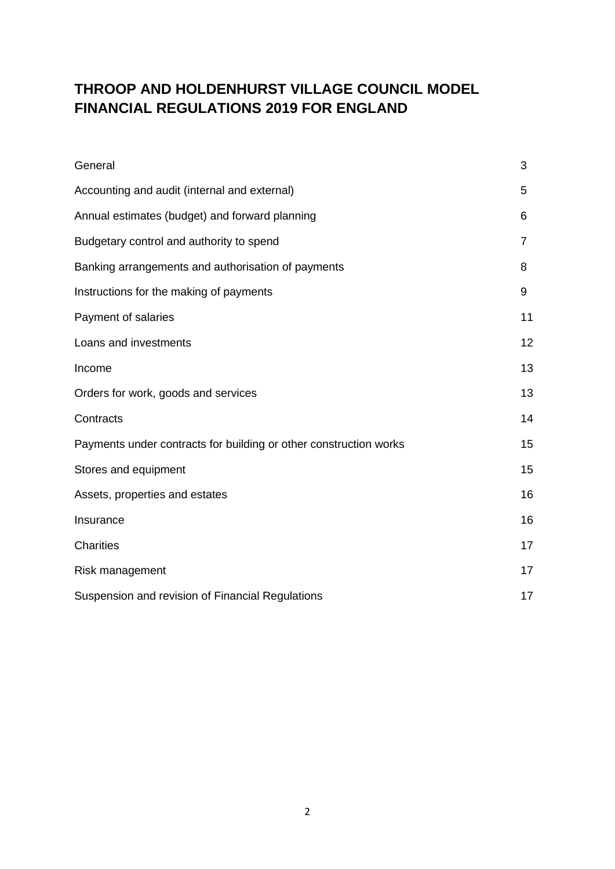# **THROOP AND HOLDENHURST VILLAGE COUNCIL MODEL FINANCIAL REGULATIONS 2019 FOR ENGLAND**

| General                                                           | 3  |  |
|-------------------------------------------------------------------|----|--|
| Accounting and audit (internal and external)                      | 5  |  |
| Annual estimates (budget) and forward planning                    | 6  |  |
| Budgetary control and authority to spend                          | 7  |  |
| Banking arrangements and authorisation of payments                | 8  |  |
| Instructions for the making of payments                           | 9  |  |
| Payment of salaries                                               | 11 |  |
| Loans and investments                                             | 12 |  |
| Income                                                            | 13 |  |
| Orders for work, goods and services                               | 13 |  |
| Contracts                                                         | 14 |  |
| Payments under contracts for building or other construction works | 15 |  |
| Stores and equipment                                              | 15 |  |
| Assets, properties and estates                                    | 16 |  |
| Insurance                                                         | 16 |  |
| <b>Charities</b>                                                  | 17 |  |
| Risk management                                                   |    |  |
| Suspension and revision of Financial Regulations                  | 17 |  |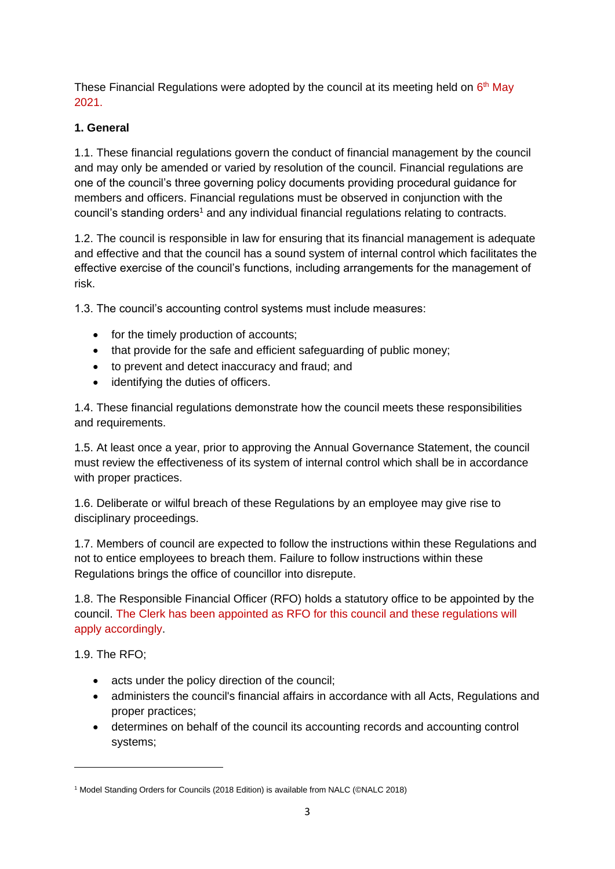These Financial Regulations were adopted by the council at its meeting held on 6<sup>th</sup> May 2021.

# **1. General**

1.1. These financial regulations govern the conduct of financial management by the council and may only be amended or varied by resolution of the council. Financial regulations are one of the council's three governing policy documents providing procedural guidance for members and officers. Financial regulations must be observed in conjunction with the council's standing orders<sup>1</sup> and any individual financial regulations relating to contracts.

1.2. The council is responsible in law for ensuring that its financial management is adequate and effective and that the council has a sound system of internal control which facilitates the effective exercise of the council's functions, including arrangements for the management of risk.

1.3. The council's accounting control systems must include measures:

- for the timely production of accounts;
- that provide for the safe and efficient safeguarding of public money;
- to prevent and detect inaccuracy and fraud; and
- identifying the duties of officers.

1.4. These financial regulations demonstrate how the council meets these responsibilities and requirements.

1.5. At least once a year, prior to approving the Annual Governance Statement, the council must review the effectiveness of its system of internal control which shall be in accordance with proper practices.

1.6. Deliberate or wilful breach of these Regulations by an employee may give rise to disciplinary proceedings.

1.7. Members of council are expected to follow the instructions within these Regulations and not to entice employees to breach them. Failure to follow instructions within these Regulations brings the office of councillor into disrepute.

1.8. The Responsible Financial Officer (RFO) holds a statutory office to be appointed by the council. The Clerk has been appointed as RFO for this council and these regulations will apply accordingly.

1.9. The RFO;

- acts under the policy direction of the council;
- administers the council's financial affairs in accordance with all Acts, Regulations and proper practices;
- determines on behalf of the council its accounting records and accounting control systems;

<sup>1</sup> Model Standing Orders for Councils (2018 Edition) is available from NALC (©NALC 2018)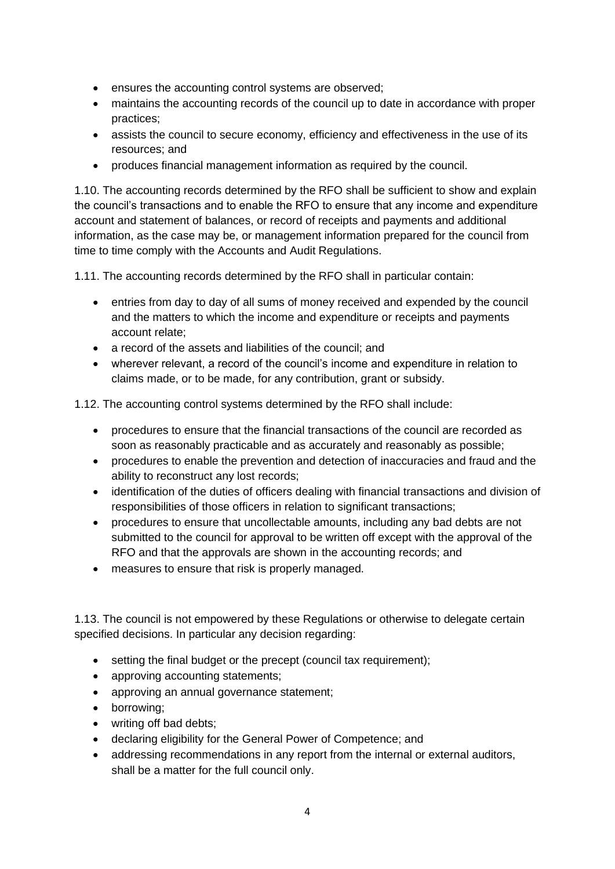- ensures the accounting control systems are observed;
- maintains the accounting records of the council up to date in accordance with proper practices;
- assists the council to secure economy, efficiency and effectiveness in the use of its resources; and
- produces financial management information as required by the council.

1.10. The accounting records determined by the RFO shall be sufficient to show and explain the council's transactions and to enable the RFO to ensure that any income and expenditure account and statement of balances, or record of receipts and payments and additional information, as the case may be, or management information prepared for the council from time to time comply with the Accounts and Audit Regulations.

1.11. The accounting records determined by the RFO shall in particular contain:

- entries from day to day of all sums of money received and expended by the council and the matters to which the income and expenditure or receipts and payments account relate;
- a record of the assets and liabilities of the council: and
- wherever relevant, a record of the council's income and expenditure in relation to claims made, or to be made, for any contribution, grant or subsidy.

1.12. The accounting control systems determined by the RFO shall include:

- procedures to ensure that the financial transactions of the council are recorded as soon as reasonably practicable and as accurately and reasonably as possible;
- procedures to enable the prevention and detection of inaccuracies and fraud and the ability to reconstruct any lost records;
- identification of the duties of officers dealing with financial transactions and division of responsibilities of those officers in relation to significant transactions;
- procedures to ensure that uncollectable amounts, including any bad debts are not submitted to the council for approval to be written off except with the approval of the RFO and that the approvals are shown in the accounting records; and
- measures to ensure that risk is properly managed.

1.13. The council is not empowered by these Regulations or otherwise to delegate certain specified decisions. In particular any decision regarding:

- setting the final budget or the precept (council tax requirement);
- approving accounting statements;
- approving an annual governance statement;
- borrowing;
- writing off bad debts;
- declaring eligibility for the General Power of Competence; and
- addressing recommendations in any report from the internal or external auditors, shall be a matter for the full council only.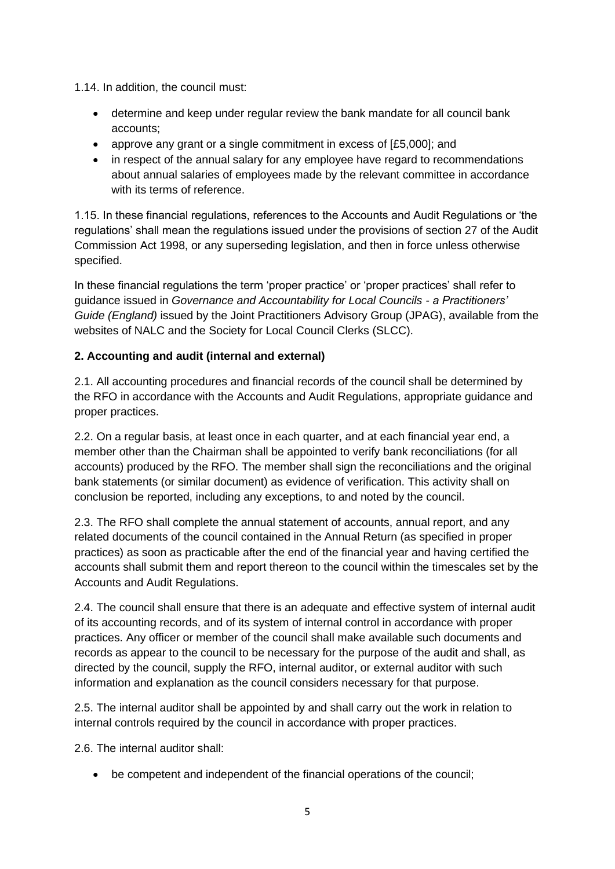1.14. In addition, the council must:

- determine and keep under regular review the bank mandate for all council bank accounts;
- approve any grant or a single commitment in excess of [£5,000]; and
- in respect of the annual salary for any employee have regard to recommendations about annual salaries of employees made by the relevant committee in accordance with its terms of reference.

1.15. In these financial regulations, references to the Accounts and Audit Regulations or 'the regulations' shall mean the regulations issued under the provisions of section 27 of the Audit Commission Act 1998, or any superseding legislation, and then in force unless otherwise specified.

In these financial regulations the term 'proper practice' or 'proper practices' shall refer to guidance issued in *Governance and Accountability for Local Councils - a Practitioners' Guide (England)* issued by the Joint Practitioners Advisory Group (JPAG), available from the websites of NALC and the Society for Local Council Clerks (SLCC).

# **2. Accounting and audit (internal and external)**

2.1. All accounting procedures and financial records of the council shall be determined by the RFO in accordance with the Accounts and Audit Regulations, appropriate guidance and proper practices.

2.2. On a regular basis, at least once in each quarter, and at each financial year end, a member other than the Chairman shall be appointed to verify bank reconciliations (for all accounts) produced by the RFO. The member shall sign the reconciliations and the original bank statements (or similar document) as evidence of verification. This activity shall on conclusion be reported, including any exceptions, to and noted by the council.

2.3. The RFO shall complete the annual statement of accounts, annual report, and any related documents of the council contained in the Annual Return (as specified in proper practices) as soon as practicable after the end of the financial year and having certified the accounts shall submit them and report thereon to the council within the timescales set by the Accounts and Audit Regulations.

2.4. The council shall ensure that there is an adequate and effective system of internal audit of its accounting records, and of its system of internal control in accordance with proper practices. Any officer or member of the council shall make available such documents and records as appear to the council to be necessary for the purpose of the audit and shall, as directed by the council, supply the RFO, internal auditor, or external auditor with such information and explanation as the council considers necessary for that purpose.

2.5. The internal auditor shall be appointed by and shall carry out the work in relation to internal controls required by the council in accordance with proper practices.

2.6. The internal auditor shall:

• be competent and independent of the financial operations of the council;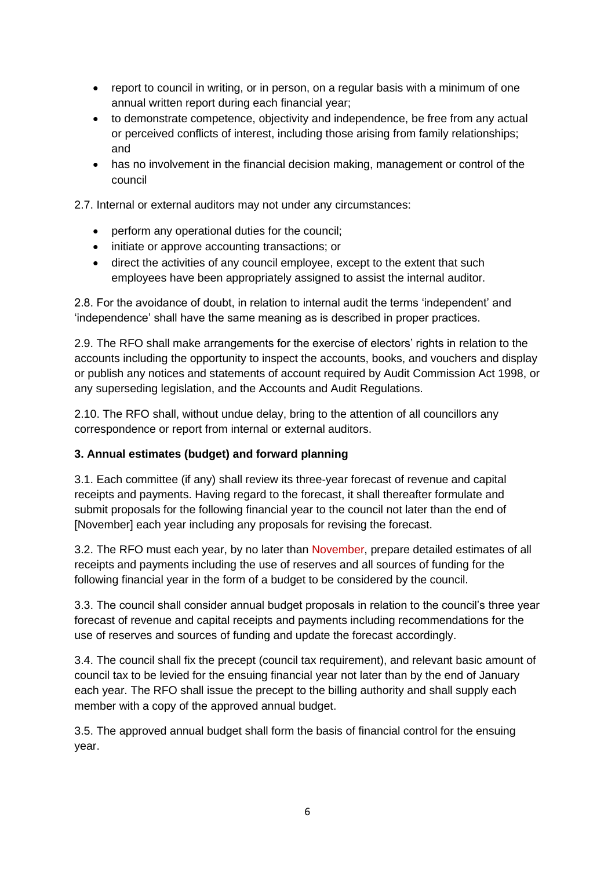- report to council in writing, or in person, on a regular basis with a minimum of one annual written report during each financial year;
- to demonstrate competence, objectivity and independence, be free from any actual or perceived conflicts of interest, including those arising from family relationships; and
- has no involvement in the financial decision making, management or control of the council

2.7. Internal or external auditors may not under any circumstances:

- perform any operational duties for the council;
- initiate or approve accounting transactions; or
- direct the activities of any council employee, except to the extent that such employees have been appropriately assigned to assist the internal auditor.

2.8. For the avoidance of doubt, in relation to internal audit the terms 'independent' and 'independence' shall have the same meaning as is described in proper practices.

2.9. The RFO shall make arrangements for the exercise of electors' rights in relation to the accounts including the opportunity to inspect the accounts, books, and vouchers and display or publish any notices and statements of account required by Audit Commission Act 1998, or any superseding legislation, and the Accounts and Audit Regulations.

2.10. The RFO shall, without undue delay, bring to the attention of all councillors any correspondence or report from internal or external auditors.

# **3. Annual estimates (budget) and forward planning**

3.1. Each committee (if any) shall review its three-year forecast of revenue and capital receipts and payments. Having regard to the forecast, it shall thereafter formulate and submit proposals for the following financial year to the council not later than the end of [November] each year including any proposals for revising the forecast.

3.2. The RFO must each year, by no later than November, prepare detailed estimates of all receipts and payments including the use of reserves and all sources of funding for the following financial year in the form of a budget to be considered by the council.

3.3. The council shall consider annual budget proposals in relation to the council's three year forecast of revenue and capital receipts and payments including recommendations for the use of reserves and sources of funding and update the forecast accordingly.

3.4. The council shall fix the precept (council tax requirement), and relevant basic amount of council tax to be levied for the ensuing financial year not later than by the end of January each year. The RFO shall issue the precept to the billing authority and shall supply each member with a copy of the approved annual budget.

3.5. The approved annual budget shall form the basis of financial control for the ensuing year.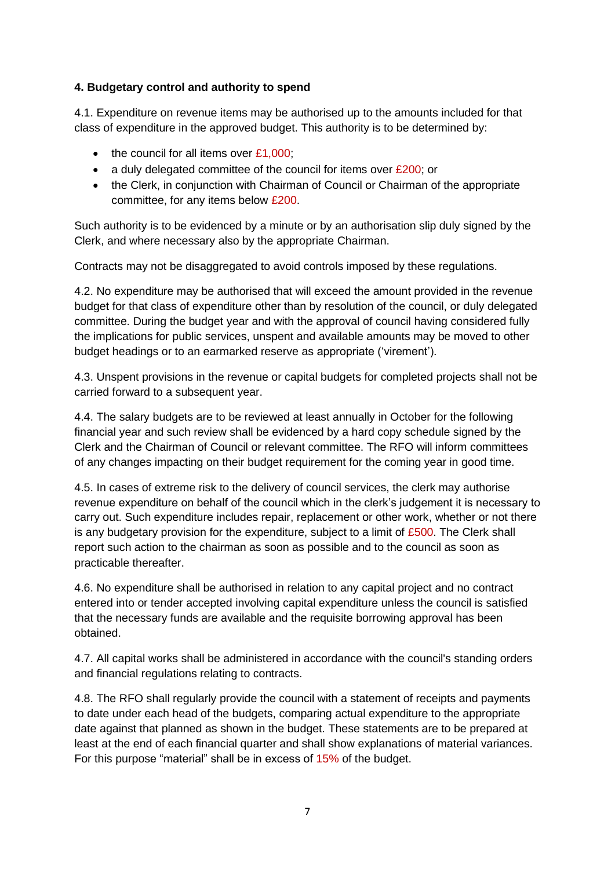# **4. Budgetary control and authority to spend**

4.1. Expenditure on revenue items may be authorised up to the amounts included for that class of expenditure in the approved budget. This authority is to be determined by:

- $\bullet$  the council for all items over £1,000;
- a duly delegated committee of the council for items over £200; or
- the Clerk, in conjunction with Chairman of Council or Chairman of the appropriate committee, for any items below £200.

Such authority is to be evidenced by a minute or by an authorisation slip duly signed by the Clerk, and where necessary also by the appropriate Chairman.

Contracts may not be disaggregated to avoid controls imposed by these regulations.

4.2. No expenditure may be authorised that will exceed the amount provided in the revenue budget for that class of expenditure other than by resolution of the council, or duly delegated committee. During the budget year and with the approval of council having considered fully the implications for public services, unspent and available amounts may be moved to other budget headings or to an earmarked reserve as appropriate ('virement').

4.3. Unspent provisions in the revenue or capital budgets for completed projects shall not be carried forward to a subsequent year.

4.4. The salary budgets are to be reviewed at least annually in October for the following financial year and such review shall be evidenced by a hard copy schedule signed by the Clerk and the Chairman of Council or relevant committee. The RFO will inform committees of any changes impacting on their budget requirement for the coming year in good time.

4.5. In cases of extreme risk to the delivery of council services, the clerk may authorise revenue expenditure on behalf of the council which in the clerk's judgement it is necessary to carry out. Such expenditure includes repair, replacement or other work, whether or not there is any budgetary provision for the expenditure, subject to a limit of  $£500$ . The Clerk shall report such action to the chairman as soon as possible and to the council as soon as practicable thereafter.

4.6. No expenditure shall be authorised in relation to any capital project and no contract entered into or tender accepted involving capital expenditure unless the council is satisfied that the necessary funds are available and the requisite borrowing approval has been obtained.

4.7. All capital works shall be administered in accordance with the council's standing orders and financial regulations relating to contracts.

4.8. The RFO shall regularly provide the council with a statement of receipts and payments to date under each head of the budgets, comparing actual expenditure to the appropriate date against that planned as shown in the budget. These statements are to be prepared at least at the end of each financial quarter and shall show explanations of material variances. For this purpose "material" shall be in excess of 15% of the budget.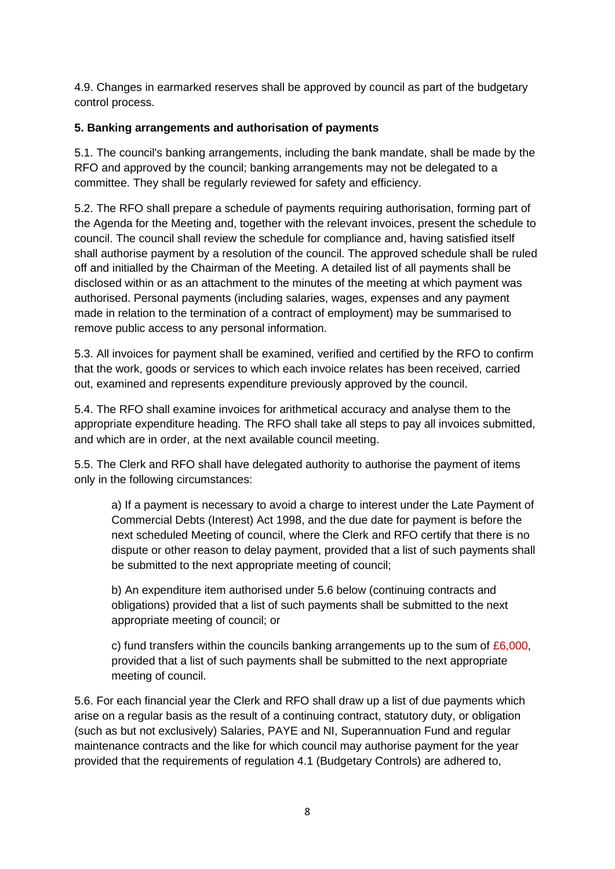4.9. Changes in earmarked reserves shall be approved by council as part of the budgetary control process.

# **5. Banking arrangements and authorisation of payments**

5.1. The council's banking arrangements, including the bank mandate, shall be made by the RFO and approved by the council; banking arrangements may not be delegated to a committee. They shall be regularly reviewed for safety and efficiency.

5.2. The RFO shall prepare a schedule of payments requiring authorisation, forming part of the Agenda for the Meeting and, together with the relevant invoices, present the schedule to council. The council shall review the schedule for compliance and, having satisfied itself shall authorise payment by a resolution of the council. The approved schedule shall be ruled off and initialled by the Chairman of the Meeting. A detailed list of all payments shall be disclosed within or as an attachment to the minutes of the meeting at which payment was authorised. Personal payments (including salaries, wages, expenses and any payment made in relation to the termination of a contract of employment) may be summarised to remove public access to any personal information.

5.3. All invoices for payment shall be examined, verified and certified by the RFO to confirm that the work, goods or services to which each invoice relates has been received, carried out, examined and represents expenditure previously approved by the council.

5.4. The RFO shall examine invoices for arithmetical accuracy and analyse them to the appropriate expenditure heading. The RFO shall take all steps to pay all invoices submitted, and which are in order, at the next available council meeting.

5.5. The Clerk and RFO shall have delegated authority to authorise the payment of items only in the following circumstances:

a) If a payment is necessary to avoid a charge to interest under the Late Payment of Commercial Debts (Interest) Act 1998, and the due date for payment is before the next scheduled Meeting of council, where the Clerk and RFO certify that there is no dispute or other reason to delay payment, provided that a list of such payments shall be submitted to the next appropriate meeting of council;

b) An expenditure item authorised under 5.6 below (continuing contracts and obligations) provided that a list of such payments shall be submitted to the next appropriate meeting of council; or

c) fund transfers within the councils banking arrangements up to the sum of  $£6,000$ , provided that a list of such payments shall be submitted to the next appropriate meeting of council.

5.6. For each financial year the Clerk and RFO shall draw up a list of due payments which arise on a regular basis as the result of a continuing contract, statutory duty, or obligation (such as but not exclusively) Salaries, PAYE and NI, Superannuation Fund and regular maintenance contracts and the like for which council may authorise payment for the year provided that the requirements of regulation 4.1 (Budgetary Controls) are adhered to,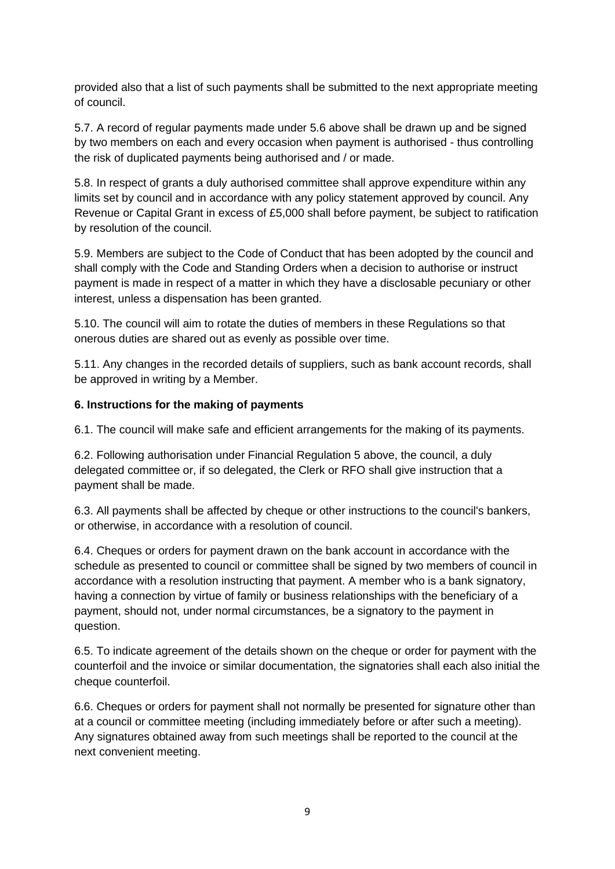provided also that a list of such payments shall be submitted to the next appropriate meeting of council.

5.7. A record of regular payments made under 5.6 above shall be drawn up and be signed by two members on each and every occasion when payment is authorised - thus controlling the risk of duplicated payments being authorised and / or made.

5.8. In respect of grants a duly authorised committee shall approve expenditure within any limits set by council and in accordance with any policy statement approved by council. Any Revenue or Capital Grant in excess of £5,000 shall before payment, be subject to ratification by resolution of the council.

5.9. Members are subject to the Code of Conduct that has been adopted by the council and shall comply with the Code and Standing Orders when a decision to authorise or instruct payment is made in respect of a matter in which they have a disclosable pecuniary or other interest, unless a dispensation has been granted.

5.10. The council will aim to rotate the duties of members in these Regulations so that onerous duties are shared out as evenly as possible over time.

5.11. Any changes in the recorded details of suppliers, such as bank account records, shall be approved in writing by a Member.

# **6. Instructions for the making of payments**

6.1. The council will make safe and efficient arrangements for the making of its payments.

6.2. Following authorisation under Financial Regulation 5 above, the council, a duly delegated committee or, if so delegated, the Clerk or RFO shall give instruction that a payment shall be made.

6.3. All payments shall be affected by cheque or other instructions to the council's bankers, or otherwise, in accordance with a resolution of council.

6.4. Cheques or orders for payment drawn on the bank account in accordance with the schedule as presented to council or committee shall be signed by two members of council in accordance with a resolution instructing that payment. A member who is a bank signatory, having a connection by virtue of family or business relationships with the beneficiary of a payment, should not, under normal circumstances, be a signatory to the payment in question.

6.5. To indicate agreement of the details shown on the cheque or order for payment with the counterfoil and the invoice or similar documentation, the signatories shall each also initial the cheque counterfoil.

6.6. Cheques or orders for payment shall not normally be presented for signature other than at a council or committee meeting (including immediately before or after such a meeting). Any signatures obtained away from such meetings shall be reported to the council at the next convenient meeting.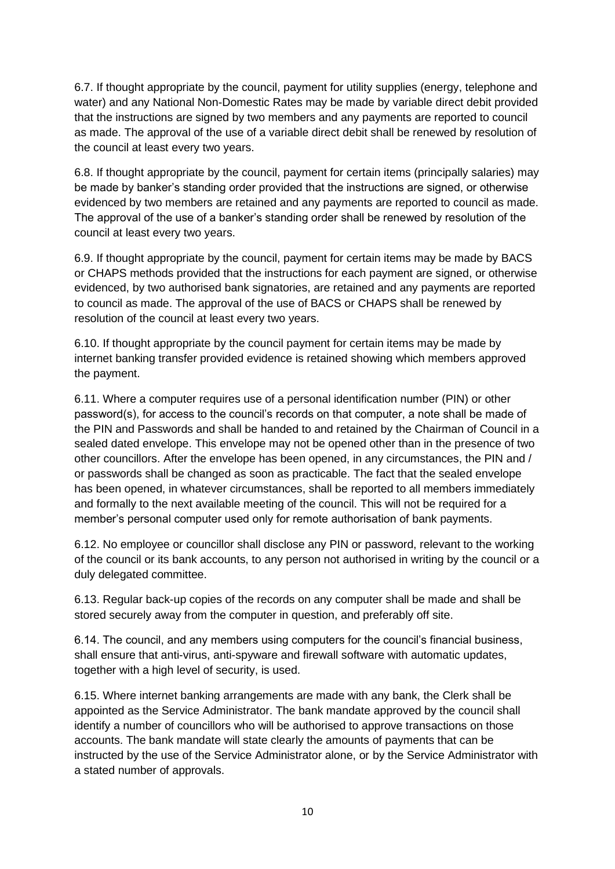6.7. If thought appropriate by the council, payment for utility supplies (energy, telephone and water) and any National Non-Domestic Rates may be made by variable direct debit provided that the instructions are signed by two members and any payments are reported to council as made. The approval of the use of a variable direct debit shall be renewed by resolution of the council at least every two years.

6.8. If thought appropriate by the council, payment for certain items (principally salaries) may be made by banker's standing order provided that the instructions are signed, or otherwise evidenced by two members are retained and any payments are reported to council as made. The approval of the use of a banker's standing order shall be renewed by resolution of the council at least every two years.

6.9. If thought appropriate by the council, payment for certain items may be made by BACS or CHAPS methods provided that the instructions for each payment are signed, or otherwise evidenced, by two authorised bank signatories, are retained and any payments are reported to council as made. The approval of the use of BACS or CHAPS shall be renewed by resolution of the council at least every two years.

6.10. If thought appropriate by the council payment for certain items may be made by internet banking transfer provided evidence is retained showing which members approved the payment.

6.11. Where a computer requires use of a personal identification number (PIN) or other password(s), for access to the council's records on that computer, a note shall be made of the PIN and Passwords and shall be handed to and retained by the Chairman of Council in a sealed dated envelope. This envelope may not be opened other than in the presence of two other councillors. After the envelope has been opened, in any circumstances, the PIN and / or passwords shall be changed as soon as practicable. The fact that the sealed envelope has been opened, in whatever circumstances, shall be reported to all members immediately and formally to the next available meeting of the council. This will not be required for a member's personal computer used only for remote authorisation of bank payments.

6.12. No employee or councillor shall disclose any PIN or password, relevant to the working of the council or its bank accounts, to any person not authorised in writing by the council or a duly delegated committee.

6.13. Regular back-up copies of the records on any computer shall be made and shall be stored securely away from the computer in question, and preferably off site.

6.14. The council, and any members using computers for the council's financial business, shall ensure that anti-virus, anti-spyware and firewall software with automatic updates, together with a high level of security, is used.

6.15. Where internet banking arrangements are made with any bank, the Clerk shall be appointed as the Service Administrator. The bank mandate approved by the council shall identify a number of councillors who will be authorised to approve transactions on those accounts. The bank mandate will state clearly the amounts of payments that can be instructed by the use of the Service Administrator alone, or by the Service Administrator with a stated number of approvals.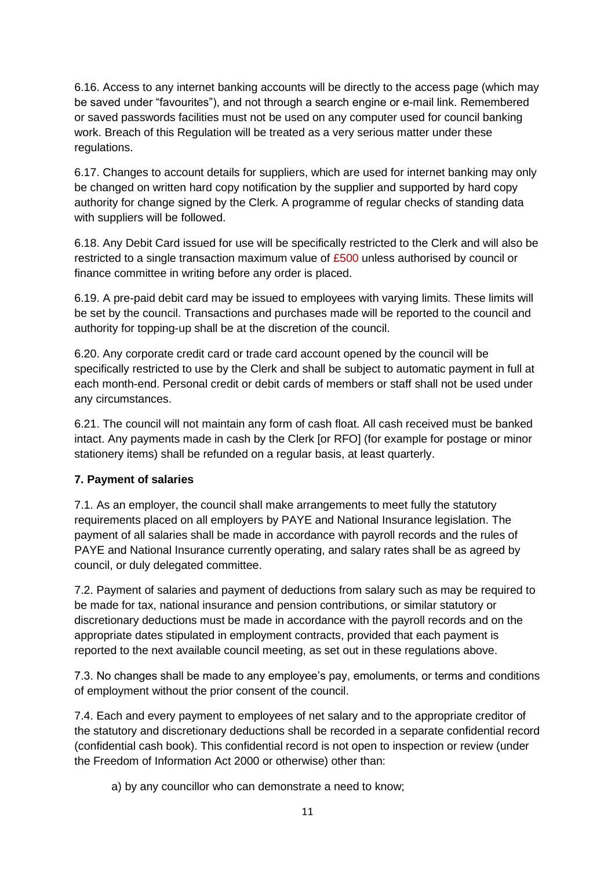6.16. Access to any internet banking accounts will be directly to the access page (which may be saved under "favourites"), and not through a search engine or e-mail link. Remembered or saved passwords facilities must not be used on any computer used for council banking work. Breach of this Regulation will be treated as a very serious matter under these regulations.

6.17. Changes to account details for suppliers, which are used for internet banking may only be changed on written hard copy notification by the supplier and supported by hard copy authority for change signed by the Clerk. A programme of regular checks of standing data with suppliers will be followed.

6.18. Any Debit Card issued for use will be specifically restricted to the Clerk and will also be restricted to a single transaction maximum value of £500 unless authorised by council or finance committee in writing before any order is placed.

6.19. A pre-paid debit card may be issued to employees with varying limits. These limits will be set by the council. Transactions and purchases made will be reported to the council and authority for topping-up shall be at the discretion of the council.

6.20. Any corporate credit card or trade card account opened by the council will be specifically restricted to use by the Clerk and shall be subject to automatic payment in full at each month-end. Personal credit or debit cards of members or staff shall not be used under any circumstances.

6.21. The council will not maintain any form of cash float. All cash received must be banked intact. Any payments made in cash by the Clerk [or RFO] (for example for postage or minor stationery items) shall be refunded on a regular basis, at least quarterly.

# **7. Payment of salaries**

7.1. As an employer, the council shall make arrangements to meet fully the statutory requirements placed on all employers by PAYE and National Insurance legislation. The payment of all salaries shall be made in accordance with payroll records and the rules of PAYE and National Insurance currently operating, and salary rates shall be as agreed by council, or duly delegated committee.

7.2. Payment of salaries and payment of deductions from salary such as may be required to be made for tax, national insurance and pension contributions, or similar statutory or discretionary deductions must be made in accordance with the payroll records and on the appropriate dates stipulated in employment contracts, provided that each payment is reported to the next available council meeting, as set out in these regulations above.

7.3. No changes shall be made to any employee's pay, emoluments, or terms and conditions of employment without the prior consent of the council.

7.4. Each and every payment to employees of net salary and to the appropriate creditor of the statutory and discretionary deductions shall be recorded in a separate confidential record (confidential cash book). This confidential record is not open to inspection or review (under the Freedom of Information Act 2000 or otherwise) other than:

a) by any councillor who can demonstrate a need to know;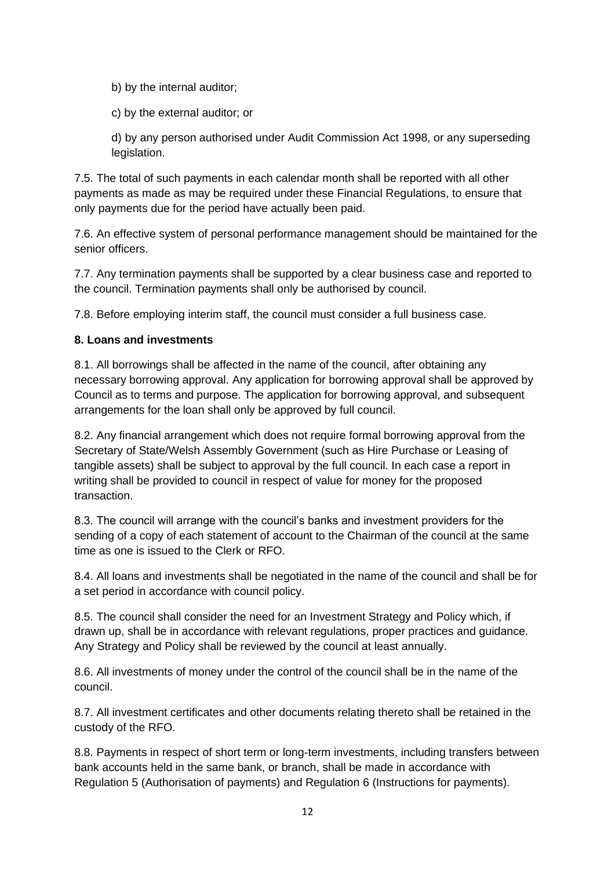b) by the internal auditor;

c) by the external auditor; or

d) by any person authorised under Audit Commission Act 1998, or any superseding legislation.

7.5. The total of such payments in each calendar month shall be reported with all other payments as made as may be required under these Financial Regulations, to ensure that only payments due for the period have actually been paid.

7.6. An effective system of personal performance management should be maintained for the senior officers.

7.7. Any termination payments shall be supported by a clear business case and reported to the council. Termination payments shall only be authorised by council.

7.8. Before employing interim staff, the council must consider a full business case.

#### **8. Loans and investments**

8.1. All borrowings shall be affected in the name of the council, after obtaining any necessary borrowing approval. Any application for borrowing approval shall be approved by Council as to terms and purpose. The application for borrowing approval, and subsequent arrangements for the loan shall only be approved by full council.

8.2. Any financial arrangement which does not require formal borrowing approval from the Secretary of State/Welsh Assembly Government (such as Hire Purchase or Leasing of tangible assets) shall be subject to approval by the full council. In each case a report in writing shall be provided to council in respect of value for money for the proposed transaction.

8.3. The council will arrange with the council's banks and investment providers for the sending of a copy of each statement of account to the Chairman of the council at the same time as one is issued to the Clerk or RFO.

8.4. All loans and investments shall be negotiated in the name of the council and shall be for a set period in accordance with council policy.

8.5. The council shall consider the need for an Investment Strategy and Policy which, if drawn up, shall be in accordance with relevant regulations, proper practices and guidance. Any Strategy and Policy shall be reviewed by the council at least annually.

8.6. All investments of money under the control of the council shall be in the name of the council.

8.7. All investment certificates and other documents relating thereto shall be retained in the custody of the RFO.

8.8. Payments in respect of short term or long-term investments, including transfers between bank accounts held in the same bank, or branch, shall be made in accordance with Regulation 5 (Authorisation of payments) and Regulation 6 (Instructions for payments).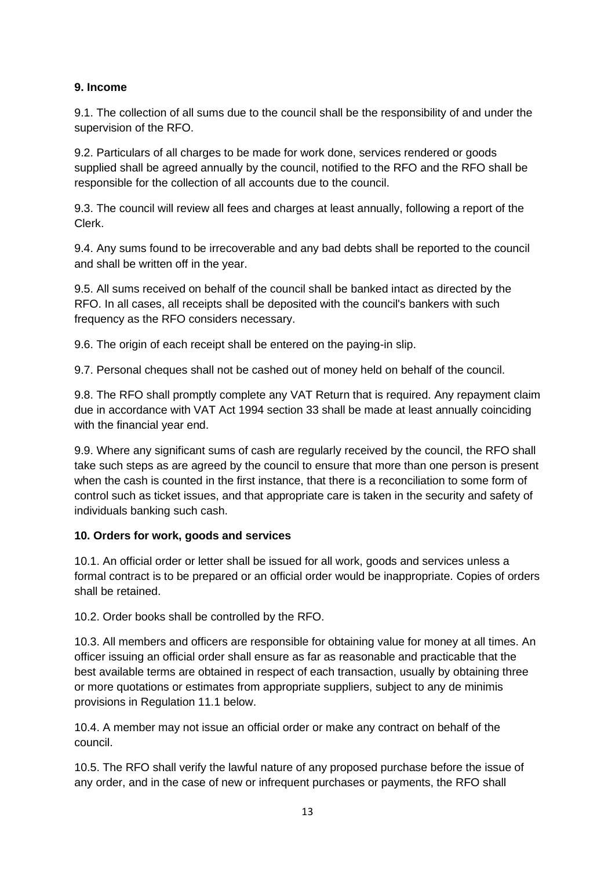# **9. Income**

9.1. The collection of all sums due to the council shall be the responsibility of and under the supervision of the RFO.

9.2. Particulars of all charges to be made for work done, services rendered or goods supplied shall be agreed annually by the council, notified to the RFO and the RFO shall be responsible for the collection of all accounts due to the council.

9.3. The council will review all fees and charges at least annually, following a report of the Clerk.

9.4. Any sums found to be irrecoverable and any bad debts shall be reported to the council and shall be written off in the year.

9.5. All sums received on behalf of the council shall be banked intact as directed by the RFO. In all cases, all receipts shall be deposited with the council's bankers with such frequency as the RFO considers necessary.

9.6. The origin of each receipt shall be entered on the paying-in slip.

9.7. Personal cheques shall not be cashed out of money held on behalf of the council.

9.8. The RFO shall promptly complete any VAT Return that is required. Any repayment claim due in accordance with VAT Act 1994 section 33 shall be made at least annually coinciding with the financial year end.

9.9. Where any significant sums of cash are regularly received by the council, the RFO shall take such steps as are agreed by the council to ensure that more than one person is present when the cash is counted in the first instance, that there is a reconciliation to some form of control such as ticket issues, and that appropriate care is taken in the security and safety of individuals banking such cash.

# **10. Orders for work, goods and services**

10.1. An official order or letter shall be issued for all work, goods and services unless a formal contract is to be prepared or an official order would be inappropriate. Copies of orders shall be retained.

10.2. Order books shall be controlled by the RFO.

10.3. All members and officers are responsible for obtaining value for money at all times. An officer issuing an official order shall ensure as far as reasonable and practicable that the best available terms are obtained in respect of each transaction, usually by obtaining three or more quotations or estimates from appropriate suppliers, subject to any de minimis provisions in Regulation 11.1 below.

10.4. A member may not issue an official order or make any contract on behalf of the council.

10.5. The RFO shall verify the lawful nature of any proposed purchase before the issue of any order, and in the case of new or infrequent purchases or payments, the RFO shall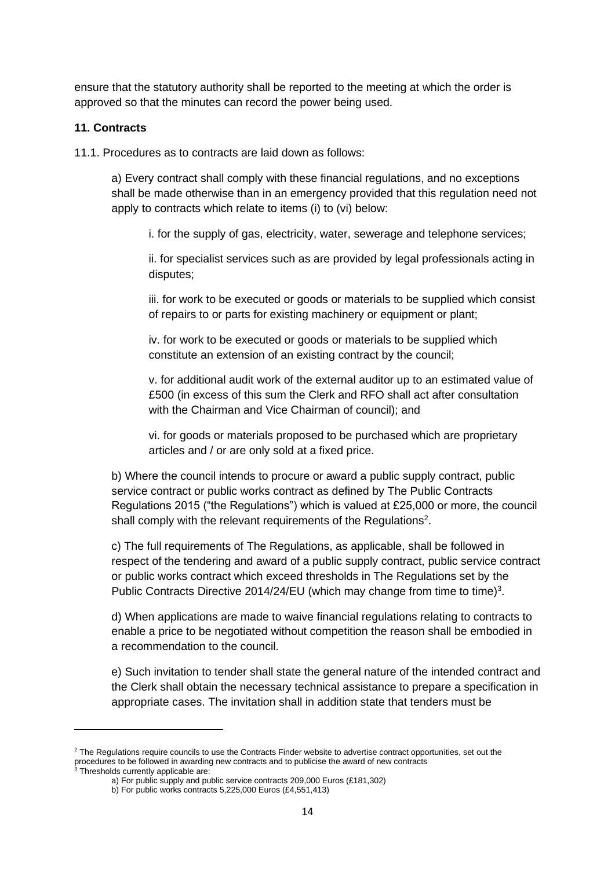ensure that the statutory authority shall be reported to the meeting at which the order is approved so that the minutes can record the power being used.

#### **11. Contracts**

11.1. Procedures as to contracts are laid down as follows:

a) Every contract shall comply with these financial regulations, and no exceptions shall be made otherwise than in an emergency provided that this regulation need not apply to contracts which relate to items (i) to (vi) below:

i. for the supply of gas, electricity, water, sewerage and telephone services;

ii. for specialist services such as are provided by legal professionals acting in disputes;

iii. for work to be executed or goods or materials to be supplied which consist of repairs to or parts for existing machinery or equipment or plant;

iv. for work to be executed or goods or materials to be supplied which constitute an extension of an existing contract by the council;

v. for additional audit work of the external auditor up to an estimated value of £500 (in excess of this sum the Clerk and RFO shall act after consultation with the Chairman and Vice Chairman of council); and

vi. for goods or materials proposed to be purchased which are proprietary articles and / or are only sold at a fixed price.

b) Where the council intends to procure or award a public supply contract, public service contract or public works contract as defined by The Public Contracts Regulations 2015 ("the Regulations") which is valued at £25,000 or more, the council shall comply with the relevant requirements of the Regulations<sup>2</sup>.

c) The full requirements of The Regulations, as applicable, shall be followed in respect of the tendering and award of a public supply contract, public service contract or public works contract which exceed thresholds in The Regulations set by the Public Contracts Directive 2014/24/EU (which may change from time to time)<sup>3</sup>.

d) When applications are made to waive financial regulations relating to contracts to enable a price to be negotiated without competition the reason shall be embodied in a recommendation to the council.

e) Such invitation to tender shall state the general nature of the intended contract and the Clerk shall obtain the necessary technical assistance to prepare a specification in appropriate cases. The invitation shall in addition state that tenders must be

<sup>&</sup>lt;sup>2</sup> The Regulations require councils to use the Contracts Finder website to advertise contract opportunities, set out the procedures to be followed in awarding new contracts and to publicise the award of new contracts

<sup>&</sup>lt;sup>3</sup> Thresholds currently applicable are:

a) For public supply and public service contracts 209,000 Euros (£181,302)

b) For public works contracts 5,225,000 Euros (£4,551,413)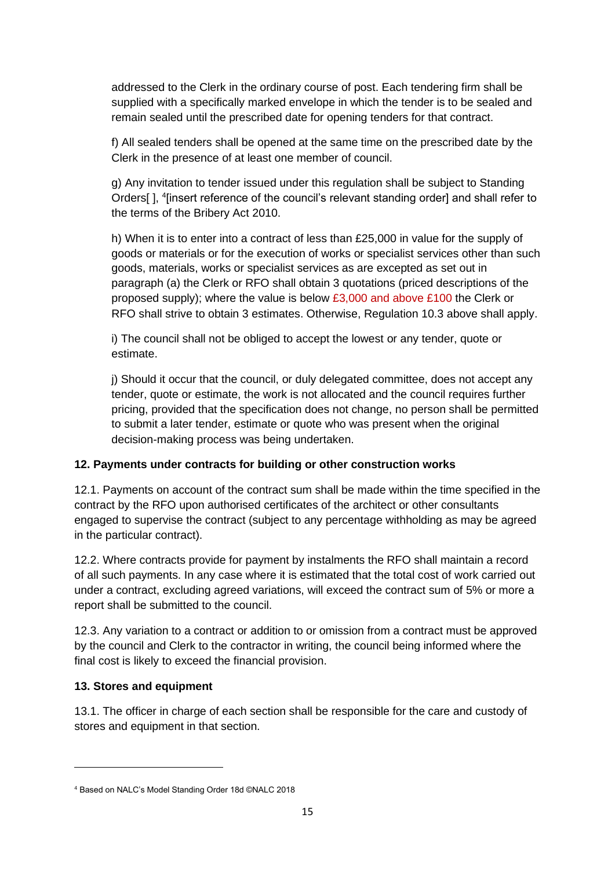addressed to the Clerk in the ordinary course of post. Each tendering firm shall be supplied with a specifically marked envelope in which the tender is to be sealed and remain sealed until the prescribed date for opening tenders for that contract.

f) All sealed tenders shall be opened at the same time on the prescribed date by the Clerk in the presence of at least one member of council.

g) Any invitation to tender issued under this regulation shall be subject to Standing Orders[], <sup>4</sup>[insert reference of the council's relevant standing order] and shall refer to the terms of the Bribery Act 2010.

h) When it is to enter into a contract of less than £25,000 in value for the supply of goods or materials or for the execution of works or specialist services other than such goods, materials, works or specialist services as are excepted as set out in paragraph (a) the Clerk or RFO shall obtain 3 quotations (priced descriptions of the proposed supply); where the value is below £3,000 and above £100 the Clerk or RFO shall strive to obtain 3 estimates. Otherwise, Regulation 10.3 above shall apply.

i) The council shall not be obliged to accept the lowest or any tender, quote or estimate.

j) Should it occur that the council, or duly delegated committee, does not accept any tender, quote or estimate, the work is not allocated and the council requires further pricing, provided that the specification does not change, no person shall be permitted to submit a later tender, estimate or quote who was present when the original decision-making process was being undertaken.

# **12. Payments under contracts for building or other construction works**

12.1. Payments on account of the contract sum shall be made within the time specified in the contract by the RFO upon authorised certificates of the architect or other consultants engaged to supervise the contract (subject to any percentage withholding as may be agreed in the particular contract).

12.2. Where contracts provide for payment by instalments the RFO shall maintain a record of all such payments. In any case where it is estimated that the total cost of work carried out under a contract, excluding agreed variations, will exceed the contract sum of 5% or more a report shall be submitted to the council.

12.3. Any variation to a contract or addition to or omission from a contract must be approved by the council and Clerk to the contractor in writing, the council being informed where the final cost is likely to exceed the financial provision.

# **13. Stores and equipment**

13.1. The officer in charge of each section shall be responsible for the care and custody of stores and equipment in that section.

<sup>4</sup> Based on NALC's Model Standing Order 18d ©NALC 2018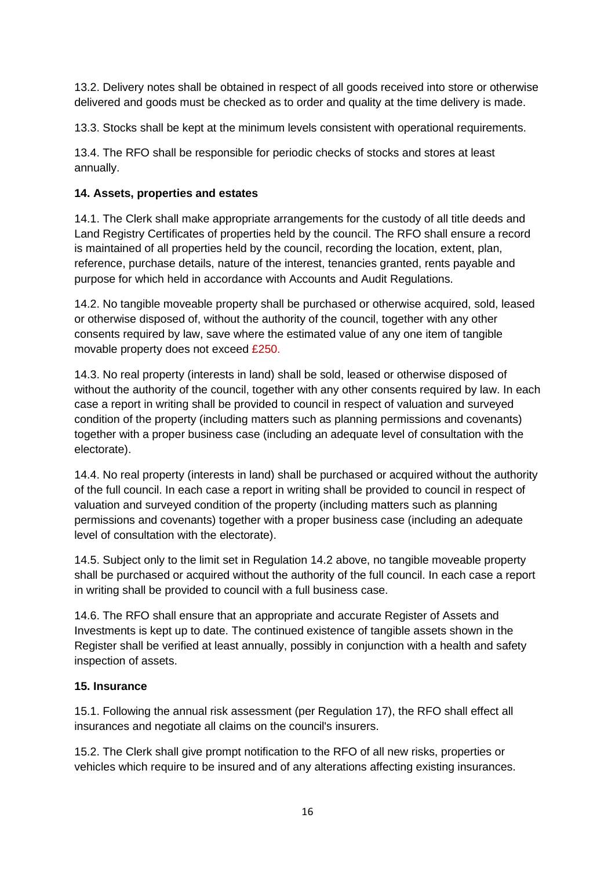13.2. Delivery notes shall be obtained in respect of all goods received into store or otherwise delivered and goods must be checked as to order and quality at the time delivery is made.

13.3. Stocks shall be kept at the minimum levels consistent with operational requirements.

13.4. The RFO shall be responsible for periodic checks of stocks and stores at least annually.

# **14. Assets, properties and estates**

14.1. The Clerk shall make appropriate arrangements for the custody of all title deeds and Land Registry Certificates of properties held by the council. The RFO shall ensure a record is maintained of all properties held by the council, recording the location, extent, plan, reference, purchase details, nature of the interest, tenancies granted, rents payable and purpose for which held in accordance with Accounts and Audit Regulations.

14.2. No tangible moveable property shall be purchased or otherwise acquired, sold, leased or otherwise disposed of, without the authority of the council, together with any other consents required by law, save where the estimated value of any one item of tangible movable property does not exceed £250.

14.3. No real property (interests in land) shall be sold, leased or otherwise disposed of without the authority of the council, together with any other consents required by law. In each case a report in writing shall be provided to council in respect of valuation and surveyed condition of the property (including matters such as planning permissions and covenants) together with a proper business case (including an adequate level of consultation with the electorate).

14.4. No real property (interests in land) shall be purchased or acquired without the authority of the full council. In each case a report in writing shall be provided to council in respect of valuation and surveyed condition of the property (including matters such as planning permissions and covenants) together with a proper business case (including an adequate level of consultation with the electorate).

14.5. Subject only to the limit set in Regulation 14.2 above, no tangible moveable property shall be purchased or acquired without the authority of the full council. In each case a report in writing shall be provided to council with a full business case.

14.6. The RFO shall ensure that an appropriate and accurate Register of Assets and Investments is kept up to date. The continued existence of tangible assets shown in the Register shall be verified at least annually, possibly in conjunction with a health and safety inspection of assets.

# **15. Insurance**

15.1. Following the annual risk assessment (per Regulation 17), the RFO shall effect all insurances and negotiate all claims on the council's insurers.

15.2. The Clerk shall give prompt notification to the RFO of all new risks, properties or vehicles which require to be insured and of any alterations affecting existing insurances.